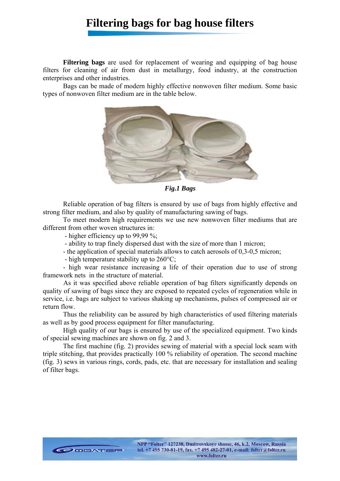## **Filtering bags for bag house filters**

**Filtering bags** are used for replacement of wearing and equipping of bag house filters for cleaning of air from dust in metallurgy, food industry, at the construction enterprises and other industries.

Bags can be made of modern highly effective nonwoven filter medium. Some basic types of nonwoven filter medium are in the table below.



*Fig.1 Bags* 

Reliable operation of bag filters is ensured by use of bags from highly effective and strong filter medium, and also by quality of manufacturing sawing of bags.

To meet modern high requirements we use new nonwoven filter mediums that are different from other woven structures in:

- higher efficiency up to 99.99 %:

CODDATER

- ability to trap finely dispersed dust with the size of more than 1 micron;

- the application of special materials allows to catch aerosols of 0,3-0,5 micron;

- high temperature stability up to 260°C;

- high wear resistance increasing a life of their operation due to use of strong framework nets in the structure of material.

 As it was specified above reliable operation of bag filters significantly depends on quality of sawing of bags since they are exposed to repeated cycles of regeneration while in service, i.e. bags are subject to various shaking up mechanisms, pulses of compressed air or return flow.

Thus the reliability can be assured by high characteristics of used filtering materials as well as by good process equipment for filter manufacturing.

High quality of our bags is ensured by use of the specialized equipment. Two kinds of special sewing machines are shown on fig. 2 and 3.

The first machine (fig. 2) provides sewing of material with a special lock seam with triple stitching, that provides practically 100 % reliability of operation. The second machine (fig. 3) sews in various rings, cords, pads, etc. that are necessary for installation and sealing of filter bags.